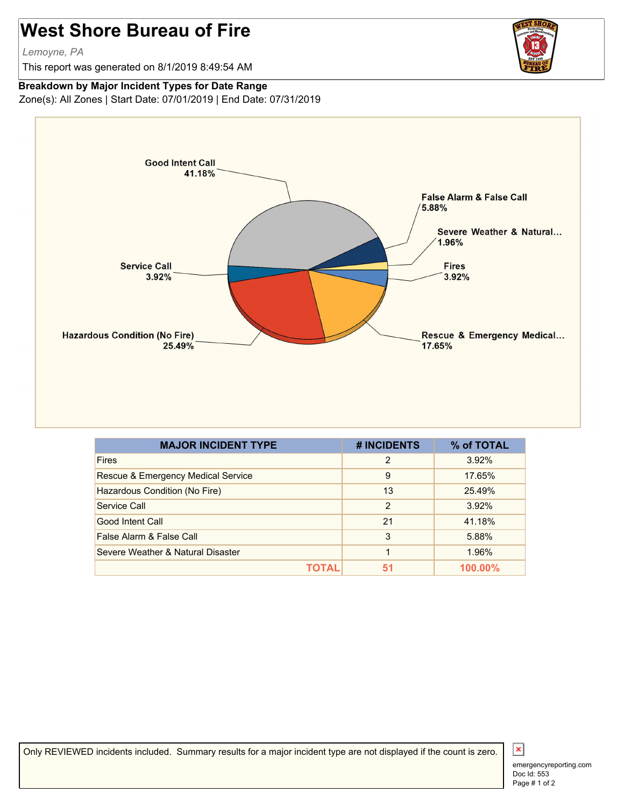## **West Shore Bureau of Fire**

*Lemoyne, PA*

This report was generated on 8/1/2019 8:49:54 AM



## **Breakdown by Major Incident Types for Date Range**

Zone(s): All Zones | Start Date: 07/01/2019 | End Date: 07/31/2019



| <b>MAJOR INCIDENT TYPE</b>         | # INCIDENTS    | % of TOTAL |
|------------------------------------|----------------|------------|
| <b>Fires</b>                       | $\overline{2}$ | 3.92%      |
| Rescue & Emergency Medical Service | 9              | 17.65%     |
| Hazardous Condition (No Fire)      | 13             | 25.49%     |
| Service Call                       | 2              | 3.92%      |
| Good Intent Call                   | 21             | 41.18%     |
| False Alarm & False Call           | 3              | 5.88%      |
| Severe Weather & Natural Disaster  | 1              | 1.96%      |
|                                    | 51             | 100.00%    |

Only REVIEWED incidents included. Summary results for a major incident type are not displayed if the count is zero.